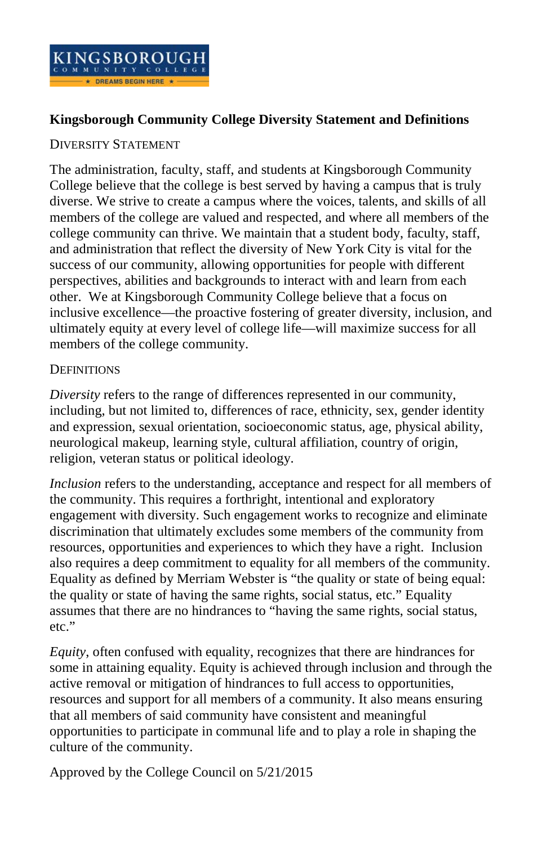

## **Kingsborough Community College Diversity Statement and Definitions**

## DIVERSITY STATEMENT

The administration, faculty, staff, and students at Kingsborough Community College believe that the college is best served by having a campus that is truly diverse. We strive to create a campus where the voices, talents, and skills of all members of the college are valued and respected, and where all members of the college community can thrive. We maintain that a student body, faculty, staff, and administration that reflect the diversity of New York City is vital for the success of our community, allowing opportunities for people with different perspectives, abilities and backgrounds to interact with and learn from each other. We at Kingsborough Community College believe that a focus on inclusive excellence—the proactive fostering of greater diversity, inclusion, and ultimately equity at every level of college life—will maximize success for all members of the college community.

## **DEFINITIONS**

*Diversity* refers to the range of differences represented in our community, including, but not limited to, differences of race, ethnicity, sex, gender identity and expression, sexual orientation, socioeconomic status, age, physical ability, neurological makeup, learning style, cultural affiliation, country of origin, religion, veteran status or political ideology.

*Inclusion* refers to the understanding, acceptance and respect for all members of the community. This requires a forthright, intentional and exploratory engagement with diversity. Such engagement works to recognize and eliminate discrimination that ultimately excludes some members of the community from resources, opportunities and experiences to which they have a right. Inclusion also requires a deep commitment to equality for all members of the community. Equality as defined by Merriam Webster is "the quality or state of being equal: the quality or state of having the same rights, social status, etc." Equality assumes that there are no hindrances to "having the same rights, social status, etc."

*Equity*, often confused with equality, recognizes that there are hindrances for some in attaining equality. Equity is achieved through inclusion and through the active removal or mitigation of hindrances to full access to opportunities, resources and support for all members of a community. It also means ensuring that all members of said community have consistent and meaningful opportunities to participate in communal life and to play a role in shaping the culture of the community.

Approved by the College Council on 5/21/2015